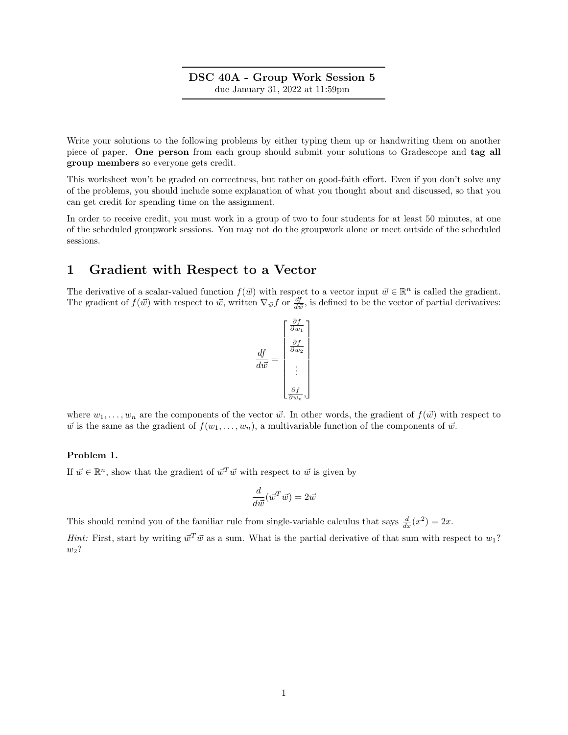### DSC 40A - Group Work Session 5 due January 31, 2022 at 11:59pm

Write your solutions to the following problems by either typing them up or handwriting them on another piece of paper. One person from each group should submit your solutions to Gradescope and tag all group members so everyone gets credit.

This worksheet won't be graded on correctness, but rather on good-faith effort. Even if you don't solve any of the problems, you should include some explanation of what you thought about and discussed, so that you can get credit for spending time on the assignment.

In order to receive credit, you must work in a group of two to four students for at least 50 minutes, at one of the scheduled groupwork sessions. You may not do the groupwork alone or meet outside of the scheduled sessions.

## 1 Gradient with Respect to a Vector

The derivative of a scalar-valued function  $f(\vec{w})$  with respect to a vector input  $\vec{w} \in \mathbb{R}^n$  is called the gradient. The gradient of  $f(\vec{w})$  with respect to  $\vec{w}$ , written  $\nabla_{\vec{w}} f$  or  $\frac{df}{d\vec{w}}$ , is defined to be the vector of partial derivatives:

$$
\frac{df}{d\vec{w}} = \begin{bmatrix} \frac{\partial f}{\partial w_1} \\ \frac{\partial f}{\partial w_2} \\ \vdots \\ \frac{\partial f}{\partial w_n} \end{bmatrix}
$$

where  $w_1, \ldots, w_n$  are the components of the vector  $\vec{w}$ . In other words, the gradient of  $f(\vec{w})$  with respect to  $\vec{w}$  is the same as the gradient of  $f(w_1, \ldots, w_n)$ , a multivariable function of the components of  $\vec{w}$ .

#### Problem 1.

If  $\vec{w} \in \mathbb{R}^n$ , show that the gradient of  $\vec{w}^T \vec{w}$  with respect to  $\vec{w}$  is given by

$$
\frac{d}{d\vec{w}}(\vec{w}^T\vec{w}) = 2\vec{w}
$$

This should remind you of the familiar rule from single-variable calculus that says  $\frac{d}{dx}(x^2) = 2x$ .

*Hint:* First, start by writing  $\vec{w}^T \vec{w}$  as a sum. What is the partial derivative of that sum with respect to  $w_1$ ?  $w_2$ ?